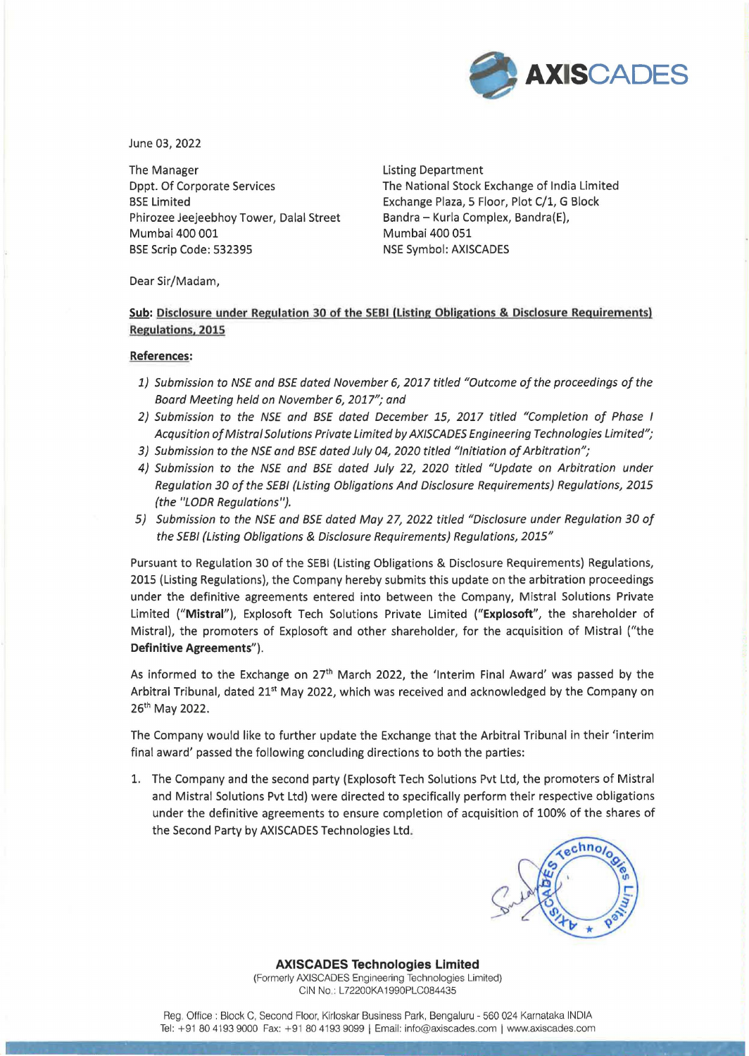

June 03, 2022

The Manager The Manager Listing Department Dppt. Of Corporate Services BSE Limited Phirozee Jeejeebhoy Tower, Dalal Street Mumbai 400 001 BSE Scrip Code: 532395 NSE Symbol: AXISCADES

The National Stock Exchange of India Limited Exchange Plaza, 5 Floor, Plot C/1, G Block Bandra - Kurla Complex, Bandra(E), Mumbai 400 051

Dear Sir/Madam,

## **Sub: Disclosure under Regulation 30 of the SEBI (Listing Obligations & Disclosure Requirements) Regulations. 2015**

## **References:**

- 1) Submission to NSE and BSE dated November 6, 2017 titled "Outcome of the proceedings of the Board Meeting held on November 6, 2017"; and
- 2) Submission to the NSE and BSE dated December 15, 2017 titled "Completion of Phase I Acqusition of Mistral Solutions Private Limited by AXISCADES Engineering Technologies Limited";
- 3) Submission to the NSE and BSE dated July 04, 2020 titled "Initiation of Arbitration";
- 4} Submission to the NSE and BSE dated July 22, 2020 titled "Update on Arbitration under Regulation 30 of the SEBI (Listing Obligations And Disclosure Requirements) Regulations, 2015 (the "LODR Regulations").
- 5} Submission to the NSE and BSE dated May 27, 2022 titled "Disclosure under Regulation 30 of the SEBI (Listing Obligations & Disclosure Requirements) Regulations, 2015"

Pursuant to Regulation 30 of the SEBI (Listing Obligations & Disclosure Requirements) Regulations, 2015 (Listing Regulations), the Company hereby submits this update on the arbitration proceedings under the definitive agreements entered into between the Company, Mistral Solutions Private Limited **("Mistral"),** Explosoft Tech Solutions Private Limited **("Explosoft",** the shareholder of Mistral), the promoters of Explosoft and other shareholder, for the acquisition of Mistral ("the **Definitive Agreements").** 

As informed to the Exchange on  $27<sup>th</sup>$  March 2022, the 'Interim Final Award' was passed by the Arbitral Tribunal, dated 21<sup>st</sup> May 2022, which was received and acknowledged by the Company on 26th May 2022.

The Company would like to further update the Exchange that the Arbitral Tribunal in their 'interim final award' passed the following concluding directions to both the parties:

1. The Company and the second party (Explosoft Tech Solutions Pvt Ltd, the promoters of Mistral and Mistral Solutions Pvt Ltd) were directed to specifically perform their respective obligations under the definitive agreements to ensure completion of acquisition of 100% of the shares of the Second Party by AXISCADES Technologies Ltd.



## **AXISCADES Technologies Limited**

(Formerly AXISCADES Engineering Technologies Limited) CIN No: L72200KA1990PLC084435